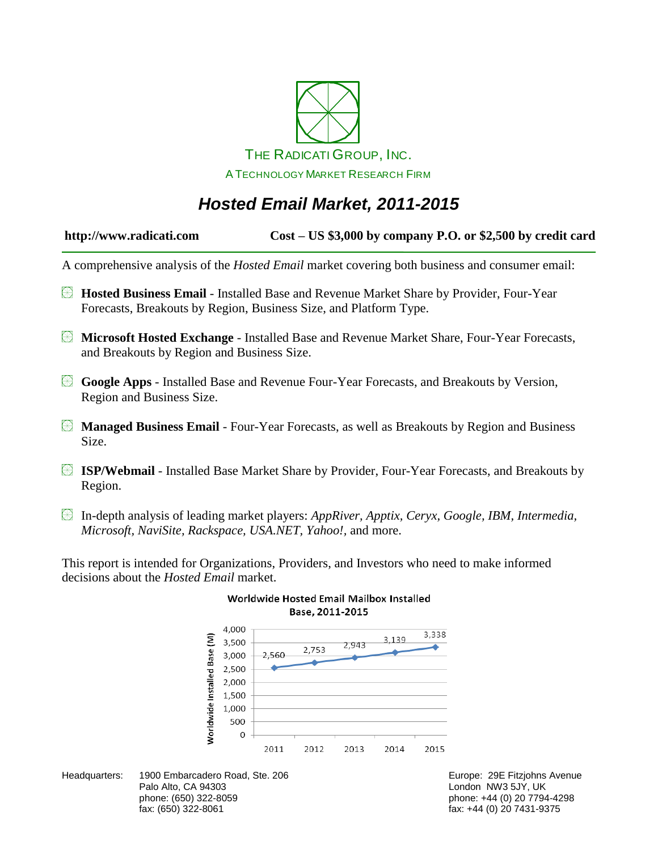

## *Hosted Email Market, 2011-2015*

| $Cost - US$ \$3,000 by company P.O. or \$2,500 by credit card<br>http://www.radicati.com |
|------------------------------------------------------------------------------------------|
|------------------------------------------------------------------------------------------|

A comprehensive analysis of the *Hosted Email* market covering both business and consumer email:

- **Hosted Business Email** Installed Base and Revenue Market Share by Provider, Four-Year Forecasts, Breakouts by Region, Business Size, and Platform Type.
- **Microsoft Hosted Exchange** Installed Base and Revenue Market Share, Four-Year Forecasts, and Breakouts by Region and Business Size.
- **Google Apps** Installed Base and Revenue Four-Year Forecasts, and Breakouts by Version, Region and Business Size.
- **Managed Business Email** Four-Year Forecasts, as well as Breakouts by Region and Business Size.
- **ISP/Webmail** Installed Base Market Share by Provider, Four-Year Forecasts, and Breakouts by Region.
- In-depth analysis of leading market players: *AppRiver, Apptix, Ceryx, Google, IBM, Intermedia, Microsoft, NaviSite, Rackspace, USA.NET, Yahoo!,* and more.

This report is intended for Organizations, Providers, and Investors who need to make informed decisions about the *Hosted Email* market.



#### Worldwide Hosted Email Mailbox Installed Base, 2011-2015

Headquarters: 1900 Embarcadero Road, Ste. 206 **Europe: 29 Europe: 29E Fitzjohns Avenue** Palo Alto, CA 94303 **Discretion CA 1986** London NW3 5JY, UK phone: (650) 322-8059 phone: +44 (0) 20 7794-4298 fax: (650) 322-8061 fax: +44 (0) 20 7431-9375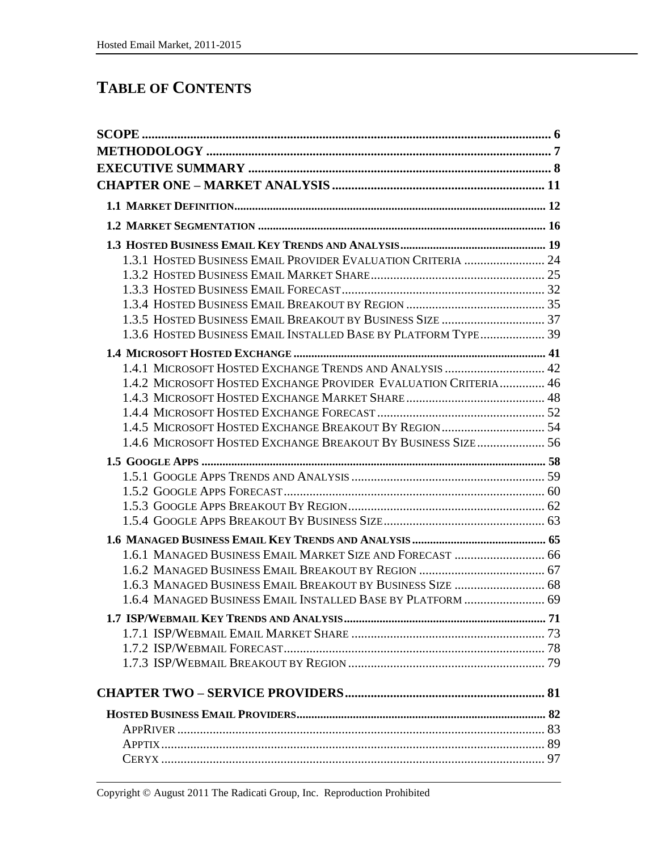### **TABLE OF CONTENTS**

| 1.3.1 HOSTED BUSINESS EMAIL PROVIDER EVALUATION CRITERIA  24    |  |
|-----------------------------------------------------------------|--|
|                                                                 |  |
|                                                                 |  |
|                                                                 |  |
|                                                                 |  |
| 1.3.6 HOSTED BUSINESS EMAIL INSTALLED BASE BY PLATFORM TYPE 39  |  |
|                                                                 |  |
| 1.4.1 MICROSOFT HOSTED EXCHANGE TRENDS AND ANALYSIS  42         |  |
| 1.4.2 MICROSOFT HOSTED EXCHANGE PROVIDER EVALUATION CRITERIA 46 |  |
|                                                                 |  |
|                                                                 |  |
|                                                                 |  |
| 1.4.6 MICROSOFT HOSTED EXCHANGE BREAKOUT BY BUSINESS SIZE 56    |  |
|                                                                 |  |
|                                                                 |  |
|                                                                 |  |
|                                                                 |  |
|                                                                 |  |
|                                                                 |  |
|                                                                 |  |
| 1.6.1 MANAGED BUSINESS EMAIL MARKET SIZE AND FORECAST  66       |  |
|                                                                 |  |
| 1.6.3 MANAGED BUSINESS EMAIL BREAKOUT BY BUSINESS SIZE  68      |  |
| 1.6.4 MANAGED BUSINESS EMAIL INSTALLED BASE BY PLATFORM  69     |  |
|                                                                 |  |
|                                                                 |  |
|                                                                 |  |
|                                                                 |  |
|                                                                 |  |
|                                                                 |  |
|                                                                 |  |
|                                                                 |  |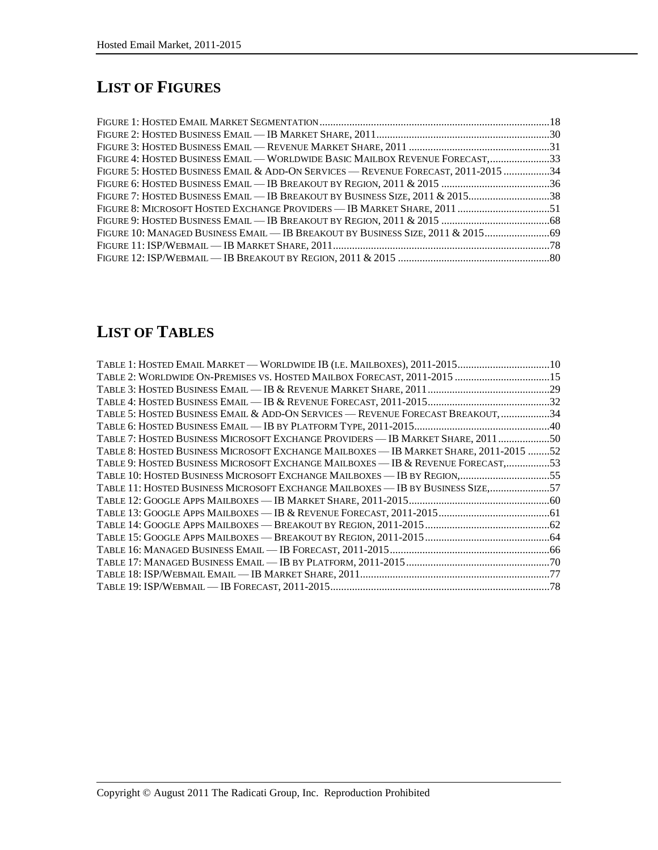# **LIST OF FIGURES**

| FIGURE 4: HOSTED BUSINESS EMAIL — WORLDWIDE BASIC MAILBOX REVENUE FORECAST,33          |  |
|----------------------------------------------------------------------------------------|--|
| FIGURE 5: HOSTED BUSINESS EMAIL & ADD-ON SERVICES — REVENUE FORECAST, 2011-2015 34     |  |
|                                                                                        |  |
| FIGURE 7: HOSTED BUSINESS EMAIL — IB BREAKOUT BY BUSINESS SIZE, 2011 & 201538          |  |
| FIGURE 8: MICROSOFT HOSTED EXCHANGE PROVIDERS — IB MARKET SHARE, 2011 ……………………………………51 |  |
|                                                                                        |  |
| FIGURE 10: MANAGED BUSINESS EMAIL — IB BREAKOUT BY BUSINESS SIZE, 2011 & 2015          |  |
|                                                                                        |  |
|                                                                                        |  |

## **LIST OF TABLES**

| TABLE 1: HOSTED EMAIL MARKET — WORLDWIDE IB (I.E. MAILBOXES), 2011-201510             |  |
|---------------------------------------------------------------------------------------|--|
| TABLE 2: WORLDWIDE ON-PREMISES VS. HOSTED MAILBOX FORECAST, 2011-2015 15              |  |
|                                                                                       |  |
|                                                                                       |  |
| TABLE 5: HOSTED BUSINESS EMAIL & ADD-ON SERVICES - REVENUE FORECAST BREAKOUT, 34      |  |
|                                                                                       |  |
| TABLE 7: HOSTED BUSINESS MICROSOFT EXCHANGE PROVIDERS — IB MARKET SHARE, 201150       |  |
| TABLE 8: HOSTED BUSINESS MICROSOFT EXCHANGE MAILBOXES - IB MARKET SHARE, 2011-2015 52 |  |
| TABLE 9: HOSTED BUSINESS MICROSOFT EXCHANGE MAILBOXES — IB & REVENUE FORECAST,53      |  |
| TABLE 10: HOSTED BUSINESS MICROSOFT EXCHANGE MAILBOXES — IB BY REGION,55              |  |
| TABLE 11: HOSTED BUSINESS MICROSOFT EXCHANGE MAILBOXES - IB BY BUSINESS SIZE,57       |  |
|                                                                                       |  |
|                                                                                       |  |
|                                                                                       |  |
|                                                                                       |  |
|                                                                                       |  |
|                                                                                       |  |
|                                                                                       |  |
|                                                                                       |  |
|                                                                                       |  |